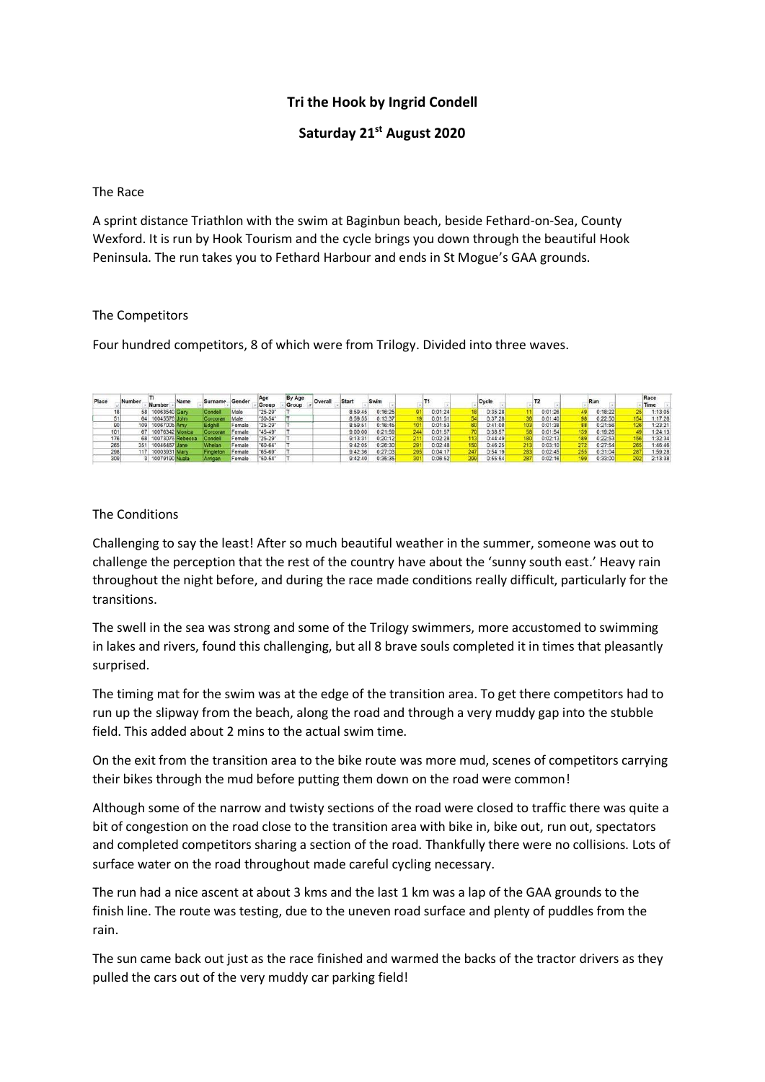# **Tri the Hook by Ingrid Condell**

## **Saturday 21st August 2020**

#### The Race

A sprint distance Triathlon with the swim at Baginbun beach, beside Fethard-on-Sea, County Wexford. It is run by Hook Tourism and the cycle brings you down through the beautiful Hook Peninsula. The run takes you to Fethard Harbour and ends in St Mogue's GAA grounds.

### The Competitors

Four hundred competitors, 8 of which were from Trilogy. Divided into three waves.

| Place | Number | Number          | Name             | Surname  | Gender | Age<br>Group | By Age<br>Group | Overall | <b>Start</b> | Swim    |         | Cycle   |      |         |    | Run     |     | Race<br>Time |
|-------|--------|-----------------|------------------|----------|--------|--------------|-----------------|---------|--------------|---------|---------|---------|------|---------|----|---------|-----|--------------|
|       |        | 10063540 Gary   |                  | conde l  | Male   | $25 - 29'$   |                 |         | 8:59:45      | 0:16:25 | 0:01:24 | 0:35:28 |      | 0:01:26 |    | 0:18:22 |     | :13:05       |
|       |        | 10045576 John   |                  | Corcoran | Male   | "50-54"      |                 |         | 8:59:55      | 0:13:37 | 0:01:51 | 0:37:28 |      | 0:01:40 |    | 0:22:50 |     | :17:26       |
|       | 109    | 10067005 Amy    |                  | ≡ਰਗਰ     | Femal  | $25 - 29'$   |                 |         | 8:59:51      | 0:16:45 | 0:01:53 | 0:41:08 |      | 0:01:38 |    | 0:21:56 | 126 | 1:23:21      |
| 101   |        | 10076342 Monica |                  | Corcoran | Female | '45-49"      |                 |         | 9:00:00      | 0:21:59 | 0:01:57 | 0:38:57 |      | 0:01:54 |    | 0:19:26 |     | 1:24:13      |
| 176   |        |                 | 10073076 Rebecca | Condell  | Female | $25 - 29"$   |                 |         | 9:13:31      | 20:12   | 0:02:28 | 0:44:49 |      | 0:02:13 |    | 0:22:53 |     | :32:34       |
| 265   | 351    | 10046467 Jane   |                  | Mhelan   | Female | "60-64"      |                 |         | 9:42:05      | 0:26:30 | 0:02:48 | 0:46:25 | 2131 | 0:03:10 | 72 | 0:27:54 | 265 | :46:46       |
| 298   | 117.   | 10003931 Mary   |                  | ingletor | Femal  | '65-69'      |                 |         | 9:42:36      | 0:27:03 | 0:04:17 | 0:54:19 |      | 0:02:45 |    | 0:31:04 | 287 | :59:28       |
| 309   |        | 10079190 Nuala  |                  |          | Femal  | $50 - 54$    |                 |         | 9:42:40      | 0:35:35 | 0.06:52 | 0:55:54 |      | 0:02:16 |    | 0:33:00 | 292 | 2:13:38      |

## The Conditions

Challenging to say the least! After so much beautiful weather in the summer, someone was out to challenge the perception that the rest of the country have about the 'sunny south east.' Heavy rain throughout the night before, and during the race made conditions really difficult, particularly for the transitions.

The swell in the sea was strong and some of the Trilogy swimmers, more accustomed to swimming in lakes and rivers, found this challenging, but all 8 brave souls completed it in times that pleasantly surprised.

The timing mat for the swim was at the edge of the transition area. To get there competitors had to run up the slipway from the beach, along the road and through a very muddy gap into the stubble field. This added about 2 mins to the actual swim time.

On the exit from the transition area to the bike route was more mud, scenes of competitors carrying their bikes through the mud before putting them down on the road were common!

Although some of the narrow and twisty sections of the road were closed to traffic there was quite a bit of congestion on the road close to the transition area with bike in, bike out, run out, spectators and completed competitors sharing a section of the road. Thankfully there were no collisions. Lots of surface water on the road throughout made careful cycling necessary.

The run had a nice ascent at about 3 kms and the last 1 km was a lap of the GAA grounds to the finish line. The route was testing, due to the uneven road surface and plenty of puddles from the rain.

The sun came back out just as the race finished and warmed the backs of the tractor drivers as they pulled the cars out of the very muddy car parking field!